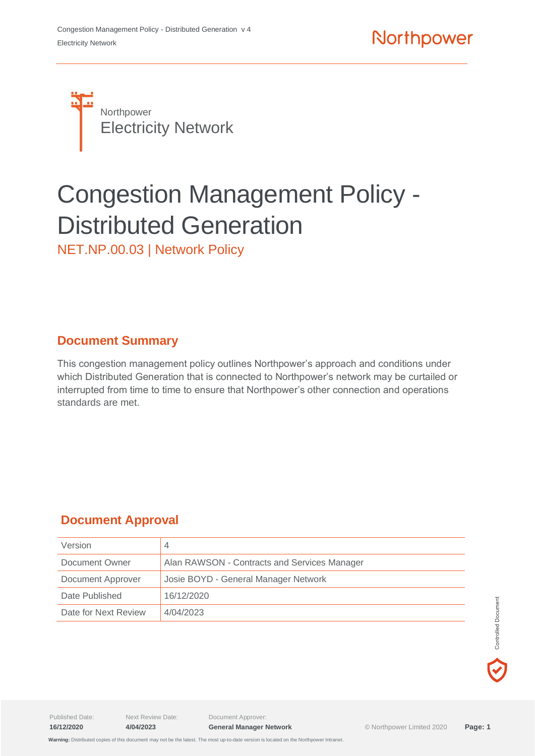

# Congestion Management Policy - Distributed Generation

NET.NP.00.03 | Network Policy

#### **Document Summary**

This congestion management policy outlines Northpower's approach and conditions under which Distributed Generation that is connected to Northpower's network may be curtailed or interrupted from time to time to ensure that Northpower's other connection and operations standards are met.

### **Document Approval**

| Version              |                                              |  |
|----------------------|----------------------------------------------|--|
| Document Owner       | Alan RAWSON - Contracts and Services Manager |  |
| Document Approver    | Josie BOYD - General Manager Network         |  |
| Date Published       | 16/12/2020                                   |  |
| Date for Next Review | 4/04/2023                                    |  |

Published Date: Next Review Date: Document Approver: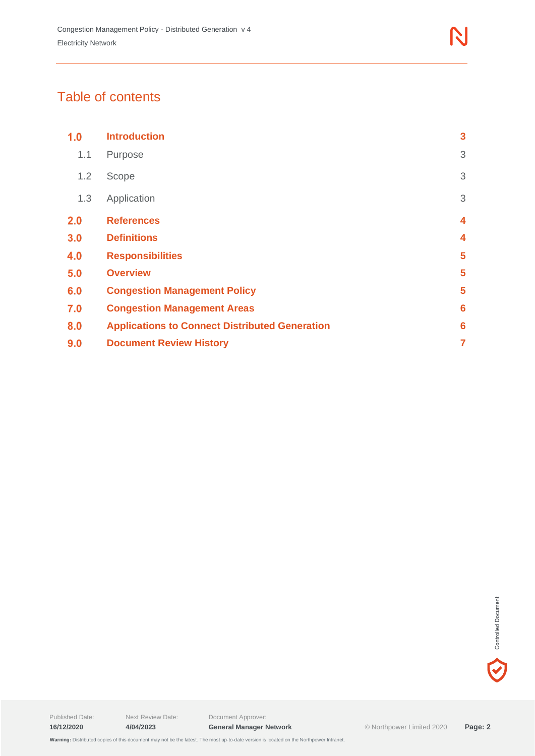## Table of contents

| 1.0 | <b>Introduction</b>                                   | $\mathbf{3}$ |  |
|-----|-------------------------------------------------------|--------------|--|
| 1.1 | Purpose                                               | 3            |  |
| 1.2 | Scope                                                 | 3            |  |
| 1.3 | Application                                           | 3            |  |
| 2.0 | <b>References</b>                                     | 4            |  |
| 3.0 | <b>Definitions</b>                                    |              |  |
| 4.0 | <b>Responsibilities</b>                               |              |  |
| 5.0 | <b>Overview</b>                                       |              |  |
| 6.0 | <b>Congestion Management Policy</b>                   |              |  |
| 7.0 | <b>Congestion Management Areas</b>                    |              |  |
| 8.0 | <b>Applications to Connect Distributed Generation</b> |              |  |
| 9.0 | <b>Document Review History</b>                        |              |  |

Controlled Document

 $\blacktriangledown$ 

Published Date: Next Review Date: Document Approver: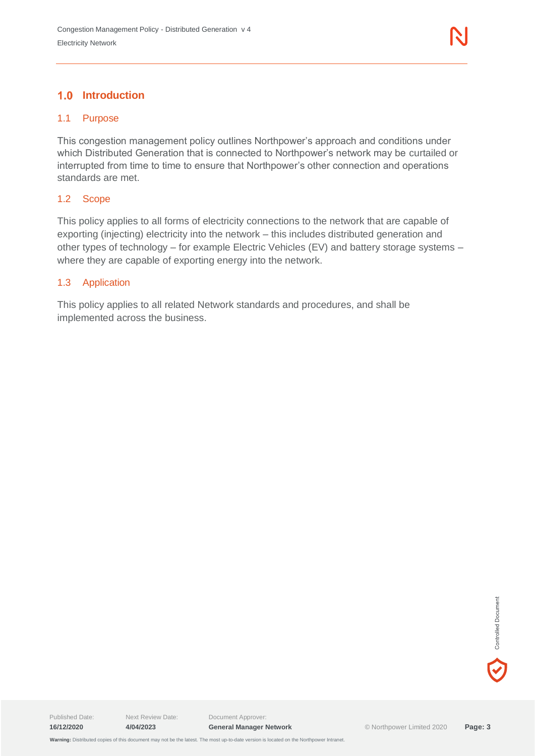#### <span id="page-2-1"></span><span id="page-2-0"></span>1.1 Purpose

This congestion management policy outlines Northpower's approach and conditions under which Distributed Generation that is connected to Northpower's network may be curtailed or interrupted from time to time to ensure that Northpower's other connection and operations standards are met.

#### <span id="page-2-2"></span>1.2 Scope

This policy applies to all forms of electricity connections to the network that are capable of exporting (injecting) electricity into the network – this includes distributed generation and other types of technology – for example Electric Vehicles (EV) and battery storage systems – where they are capable of exporting energy into the network.

#### <span id="page-2-3"></span>1.3 Application

This policy applies to all related Network standards and procedures, and shall be implemented across the business.

Published Date: Next Review Date: Document Approver: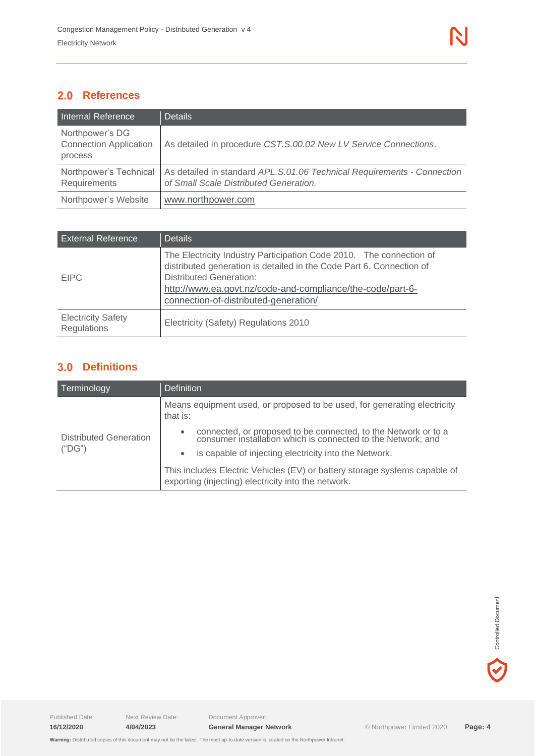<span id="page-3-0"></span>

| Internal Reference                                          | <b>Details</b>                                                                                                    |
|-------------------------------------------------------------|-------------------------------------------------------------------------------------------------------------------|
| Northpower's DG<br><b>Connection Application</b><br>process | As detailed in procedure CST.S.00.02 New LV Service Connections.                                                  |
| Northpower's Technical<br>Requirements                      | As detailed in standard APL.S.01.06 Technical Requirements - Connection<br>of Small Scale Distributed Generation. |
| Northpower's Website                                        | www.northpower.com                                                                                                |

| <b>External Reference</b>                       | <b>Details</b>                                                                                                                                                                                                                                                                       |
|-------------------------------------------------|--------------------------------------------------------------------------------------------------------------------------------------------------------------------------------------------------------------------------------------------------------------------------------------|
| <b>EIPC</b>                                     | The Electricity Industry Participation Code 2010. The connection of<br>distributed generation is detailed in the Code Part 6, Connection of<br><b>Distributed Generation:</b><br>http://www.ea.govt.nz/code-and-compliance/the-code/part-6-<br>connection-of-distributed-generation/ |
| <b>Electricity Safety</b><br><b>Regulations</b> | Electricity (Safety) Regulations 2010                                                                                                                                                                                                                                                |

#### <span id="page-3-1"></span>**Definitions**

| Terminology                             | <b>Definition</b>                                                                                                                                                                    |  |
|-----------------------------------------|--------------------------------------------------------------------------------------------------------------------------------------------------------------------------------------|--|
|                                         | Means equipment used, or proposed to be used, for generating electricity<br>that is:                                                                                                 |  |
| <b>Distributed Generation</b><br>("DG") | connected, or proposed to be connected, to the Network or to a consumer installation which is connected to the Network; and<br>is capable of injecting electricity into the Network. |  |
|                                         | This includes Electric Vehicles (EV) or battery storage systems capable of<br>exporting (injecting) electricity into the network.                                                    |  |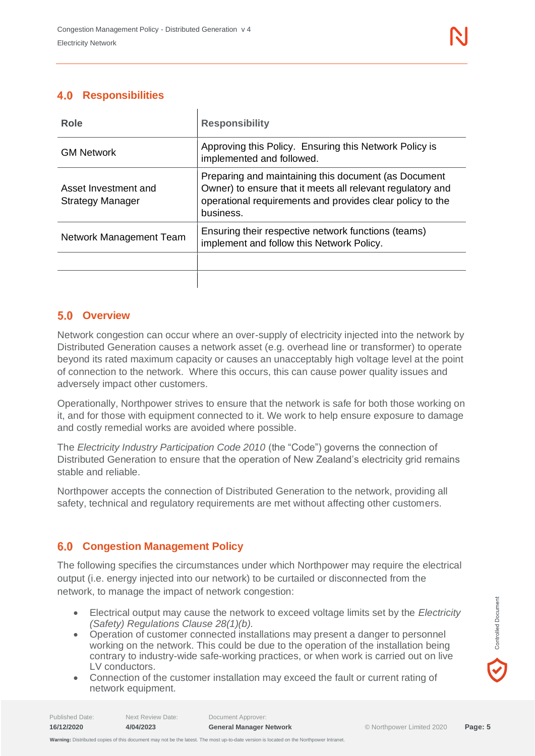#### <span id="page-4-0"></span>**Responsibilities**

| Role                                            | <b>Responsibility</b>                                                                                                                                                                        |  |
|-------------------------------------------------|----------------------------------------------------------------------------------------------------------------------------------------------------------------------------------------------|--|
| <b>GM Network</b>                               | Approving this Policy. Ensuring this Network Policy is<br>implemented and followed.                                                                                                          |  |
| Asset Investment and<br><b>Strategy Manager</b> | Preparing and maintaining this document (as Document<br>Owner) to ensure that it meets all relevant regulatory and<br>operational requirements and provides clear policy to the<br>business. |  |
| Network Management Team                         | Ensuring their respective network functions (teams)<br>implement and follow this Network Policy.                                                                                             |  |
|                                                 |                                                                                                                                                                                              |  |

#### <span id="page-4-1"></span>**Overview**

Network congestion can occur where an over-supply of electricity injected into the network by Distributed Generation causes a network asset (e.g. overhead line or transformer) to operate beyond its rated maximum capacity or causes an unacceptably high voltage level at the point of connection to the network. Where this occurs, this can cause power quality issues and adversely impact other customers.

Operationally, Northpower strives to ensure that the network is safe for both those working on it, and for those with equipment connected to it. We work to help ensure exposure to damage and costly remedial works are avoided where possible.

The *Electricity Industry Participation Code 2010* (the "Code") governs the connection of Distributed Generation to ensure that the operation of New Zealand's electricity grid remains stable and reliable.

Northpower accepts the connection of Distributed Generation to the network, providing all safety, technical and regulatory requirements are met without affecting other customers.

#### <span id="page-4-2"></span> $6.0$ **Congestion Management Policy**

The following specifies the circumstances under which Northpower may require the electrical output (i.e. energy injected into our network) to be curtailed or disconnected from the network, to manage the impact of network congestion:

- Electrical output may cause the network to exceed voltage limits set by the *Electricity (Safety) Regulations Clause 28(1)(b).*
- Operation of customer connected installations may present a danger to personnel working on the network. This could be due to the operation of the installation being contrary to industry-wide safe-working practices, or when work is carried out on live LV conductors.
- Connection of the customer installation may exceed the fault or current rating of network equipment.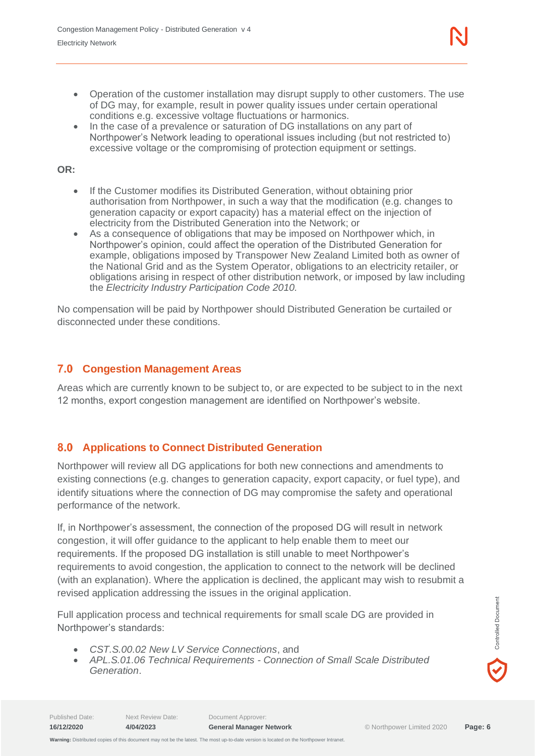- Operation of the customer installation may disrupt supply to other customers. The use of DG may, for example, result in power quality issues under certain operational conditions e.g. excessive voltage fluctuations or harmonics.
- In the case of a prevalence or saturation of DG installations on any part of Northpower's Network leading to operational issues including (but not restricted to) excessive voltage or the compromising of protection equipment or settings.

#### **OR:**

- If the Customer modifies its Distributed Generation, without obtaining prior authorisation from Northpower, in such a way that the modification (e.g. changes to generation capacity or export capacity) has a material effect on the injection of electricity from the Distributed Generation into the Network; or
- As a consequence of obligations that may be imposed on Northpower which, in Northpower's opinion, could affect the operation of the Distributed Generation for example, obligations imposed by Transpower New Zealand Limited both as owner of the National Grid and as the System Operator, obligations to an electricity retailer, or obligations arising in respect of other distribution network, or imposed by law including the *Electricity Industry Participation Code 2010.*

No compensation will be paid by Northpower should Distributed Generation be curtailed or disconnected under these conditions.

#### <span id="page-5-0"></span>**Congestion Management Areas**

Areas which are currently known to be subject to, or are expected to be subject to in the next 12 months, export congestion management are identified on Northpower's website.

#### <span id="page-5-1"></span>**Applications to Connect Distributed Generation**

Northpower will review all DG applications for both new connections and amendments to existing connections (e.g. changes to generation capacity, export capacity, or fuel type), and identify situations where the connection of DG may compromise the safety and operational performance of the network.

If, in Northpower's assessment, the connection of the proposed DG will result in network congestion, it will offer guidance to the applicant to help enable them to meet our requirements. If the proposed DG installation is still unable to meet Northpower's requirements to avoid congestion, the application to connect to the network will be declined (with an explanation). Where the application is declined, the applicant may wish to resubmit a revised application addressing the issues in the original application.

Full application process and technical requirements for small scale DG are provided in Northpower's standards:

- *CST.S.00.02 New LV Service Connections*, and
- *APL.S.01.06 Technical Requirements - Connection of Small Scale Distributed Generation*.

 **Warning:** Distributed copies of this document may not be the latest. The most up-to-date version is located on the Northpower Intranet.